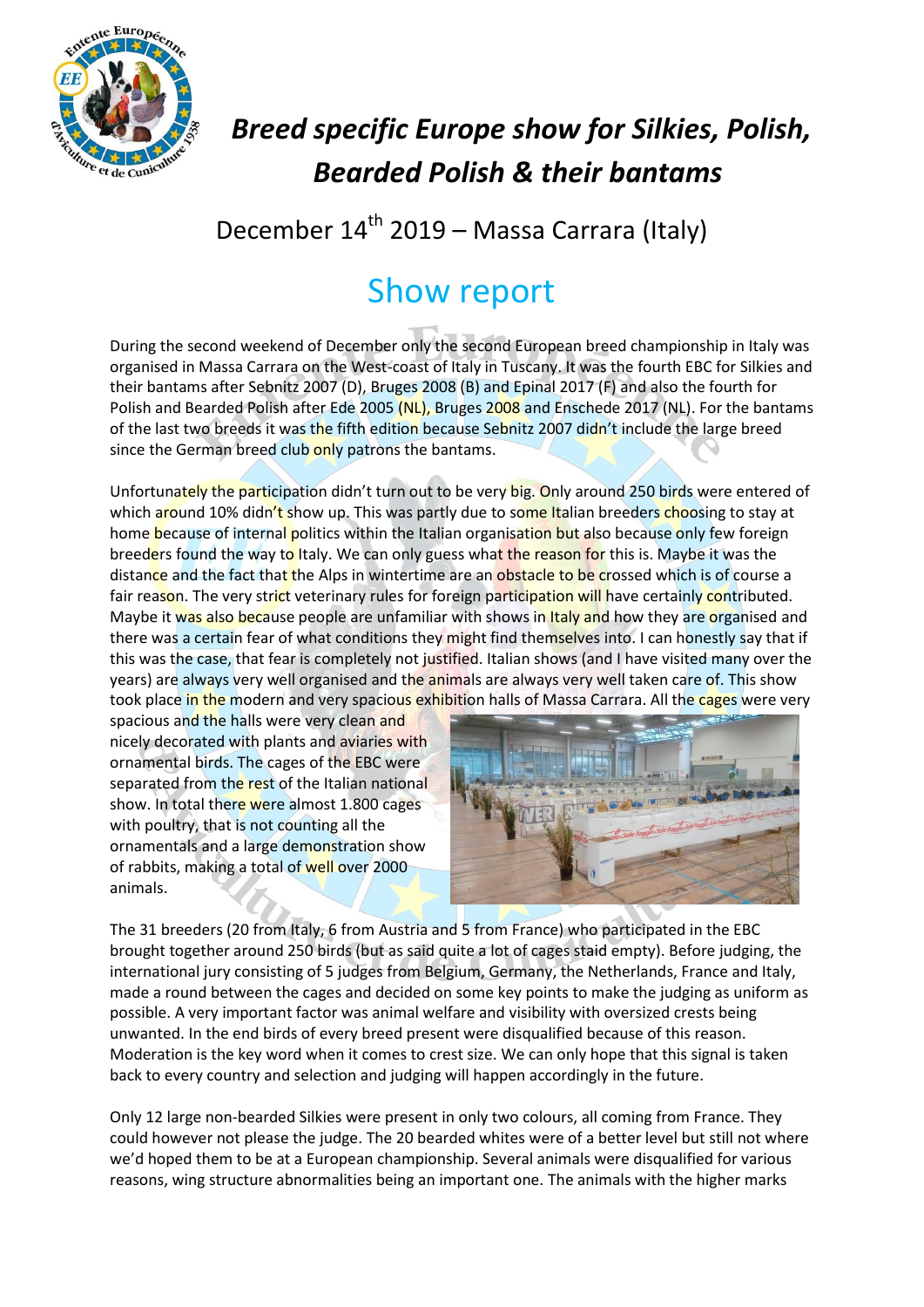

## *Breed specific Europe show for Silkies, Polish, Bearded Polish & their bantams*

## December 14<sup>th</sup> 2019 – Massa Carrara (Italy)

## Show report

During the second weekend of December only the second European breed championship in Italy was organised in Massa Carrara on the West-coast of Italy in Tuscany. It was the fourth EBC for Silkies and their bantams after Sebnitz 2007 (D), Bruges 2008 (B) and Epinal 2017 (F) and also the fourth for Polish and Bearded Polish after Ede 2005 (NL), Bruges 2008 and Enschede 2017 (NL). For the bantams of the last two breeds it was the fifth edition because Sebnitz 2007 didn't include the large breed since the German breed club only patrons the bantams.

Unfortunately the participation didn't turn out to be very big. Only around 250 birds were entered of which around 10% didn't show up. This was partly due to some Italian breeders choosing to stay at home because of internal politics within the Italian organisation but also because only few foreign breeders found the way to Italy. We can only guess what the reason for this is. Maybe it was the distance and the fact that the Alps in wintertime are an obstacle to be crossed which is of course a fair reason. The very strict veterinary rules for foreign participation will have certainly contributed. Maybe it was also because people are unfamiliar with shows in Italy and how they are organised and there was a certain fear of what conditions they might find themselves into. I can honestly say that if this was the case, that fear is completely not justified. Italian shows (and I have visited many over the years) are always very well organised and the animals are always very well taken care of. This show took place in the modern and very spacious exhibition halls of Massa Carrara. All the cages were very

spacious and the halls were very clean and nicely decorated with plants and aviaries with ornamental birds. The cages of the EBC were separated from the rest of the Italian national show. In total there were almost 1.800 cages with poultry, that is not counting all the ornamentals and a large demonstration show of rabbits, making a total of well over 2000 animals.



The 31 breeders (20 from Italy, 6 from Austria and 5 from France) who participated in the EBC brought together around 250 birds (but as said quite a lot of cages staid empty). Before judging, the international jury consisting of 5 judges from Belgium, Germany, the Netherlands, France and Italy, made a round between the cages and decided on some key points to make the judging as uniform as possible. A very important factor was animal welfare and visibility with oversized crests being unwanted. In the end birds of every breed present were disqualified because of this reason. Moderation is the key word when it comes to crest size. We can only hope that this signal is taken back to every country and selection and judging will happen accordingly in the future.

Only 12 large non-bearded Silkies were present in only two colours, all coming from France. They could however not please the judge. The 20 bearded whites were of a better level but still not where we'd hoped them to be at a European championship. Several animals were disqualified for various reasons, wing structure abnormalities being an important one. The animals with the higher marks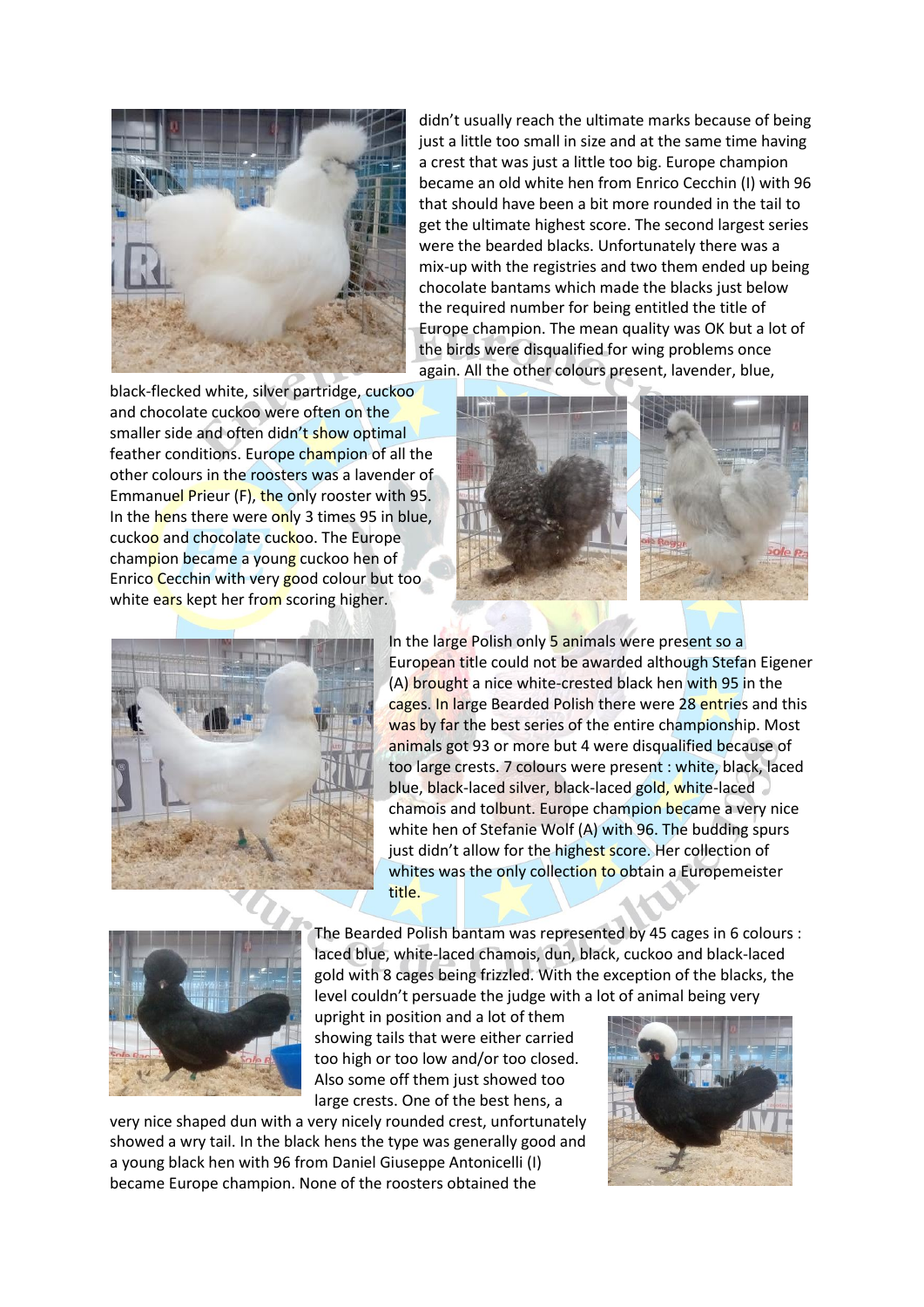

didn't usually reach the ultimate marks because of being just a little too small in size and at the same time having a crest that was just a little too big. Europe champion became an old white hen from Enrico Cecchin (I) with 96 that should have been a bit more rounded in the tail to get the ultimate highest score. The second largest series were the bearded blacks. Unfortunately there was a mix-up with the registries and two them ended up being chocolate bantams which made the blacks just below the required number for being entitled the title of Europe champion. The mean quality was OK but a lot of the birds were disqualified for wing problems once again. All the other colours present, lavender, blue,

black-flecked white, silver partridge, cuckoo and chocolate cuckoo were often on the smaller side and often didn't show optimal feather conditions. Europe champion of all the other colours in the roosters was a lavender of Emmanuel Prieur (F), the only rooster with 95. In the hens there were only 3 times 95 in blue, cuckoo and chocolate cuckoo. The Europe champion became a young cuckoo hen of Enrico Cecchin with very good colour but too white ears kept her from scoring higher.





In the large Polish only 5 animals were present so a European title could not be awarded although Stefan Eigener (A) brought a nice white-crested black hen with 95 in the cages. In large Bearded Polish there were 28 entries and this was by far the best series of the entire championship. Most animals got 93 or more but 4 were disqualified because of too large crests. 7 colours were present : white, black, laced blue, black-laced silver, black-laced gold, white-laced chamois and tolbunt. Europe champion became a very nice white hen of Stefanie Wolf (A) with 96. The budding spurs just didn't allow for the highest score. Her collection of whites was the only collection to obtain a Europemeister title.



gold with 8 cages being frizzled. With the exception of the blacks, the level couldn't persuade the judge with a lot of animal being very upright in position and a lot of them showing tails that were either carried

The Bearded Polish bantam was represented by 45 cages in 6 colours : laced blue, white-laced chamois, dun, black, cuckoo and black-laced

too high or too low and/or too closed. Also some off them just showed too large crests. One of the best hens, a

very nice shaped dun with a very nicely rounded crest, unfortunately showed a wry tail. In the black hens the type was generally good and a young black hen with 96 from Daniel Giuseppe Antonicelli (I) became Europe champion. None of the roosters obtained the